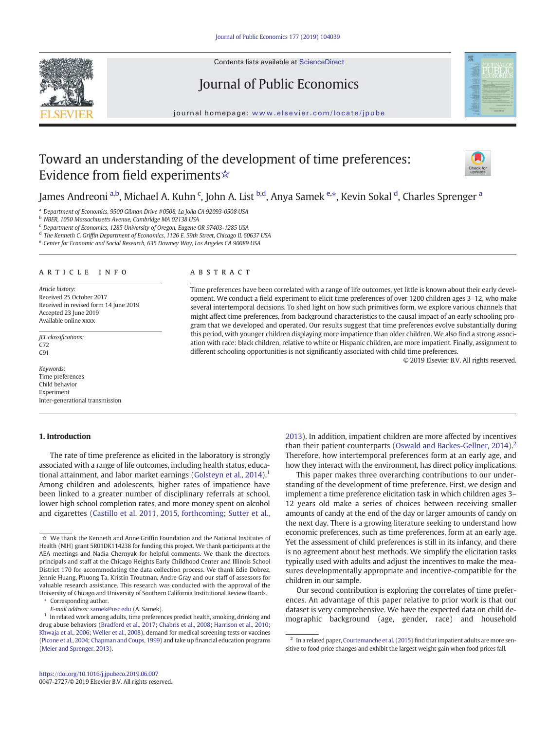

Contents lists available at ScienceDirect

# Journal of Public Economics

journal homepage: www.elsevier.com/locate/jpube

# Toward an understanding of the development of time preferences: Evidence from field experiments☆



James Andreoni <sup>a,b</sup>, Michael A. Kuhn <sup>c</sup>, John A. List <sup>b,d</sup>, Anya Samek <sup>e,</sup>\*, Kevin Sokal <sup>d</sup>, Charles Sprenger <sup>a</sup>

<sup>a</sup> *Department of Economics, 9500 Gilman Drive #0508, La Jolla CA 92093-0508 USA*

<sup>b</sup> *NBER, 1050 Massachusetts Avenue, Cambridge MA 02138 USA*

<sup>c</sup> *Department of Economics, 1285 University of Oregon, Eugene OR 97403-1285 USA*

d *The Kenneth C. Grif*fi*n Department of Economics, 1126 E. 59th Street, Chicago IL 60637 USA*

e *Center for Economic and Social Research, 635 Downey Way, Los Angeles CA 90089 USA*

#### article info abstract

*Article history:* Received 25 October 2017 Received in revised form 14 June 2019 Accepted 23 June 2019 Available online xxxx

*JEL classi*fi*cations:* C72 C91

*Keywords:* Time preferences Child behavior Experiment Inter-generational transmission

## 1. Introduction

## The rate of time preference as elicited in the laboratory is strongly associated with a range of life outcomes, including health status, educational attainment, and labor market earnings (Golsteyn et al., 2014).<sup>1</sup> Among children and adolescents, higher rates of impatience have been linked to a greater number of disciplinary referrals at school, lower high school completion rates, and more money spent on alcohol and cigarettes (Castillo et al. 2011, 2015, forthcoming; Sutter et al.,

Time preferences have been correlated with a range of life outcomes, yet little is known about their early development. We conduct a field experiment to elicit time preferences of over 1200 children ages 3–12, who make several intertemporal decisions. To shed light on how such primitives form, we explore various channels that might affect time preferences, from background characteristics to the causal impact of an early schooling program that we developed and operated. Our results suggest that time preferences evolve substantially during this period, with younger children displaying more impatience than older children. We also find a strong association with race: black children, relative to white or Hispanic children, are more impatient. Finally, assignment to different schooling opportunities is not significantly associated with child time preferences.

© 2019 Elsevier B.V. All rights reserved.

2013). In addition, impatient children are more affected by incentives than their patient counterparts (Oswald and Backes-Gellner, 2014).<sup>2</sup> Therefore, how intertemporal preferences form at an early age, and how they interact with the environment, has direct policy implications.

This paper makes three overarching contributions to our understanding of the development of time preference. First, we design and implement a time preference elicitation task in which children ages 3– 12 years old make a series of choices between receiving smaller amounts of candy at the end of the day or larger amounts of candy on the next day. There is a growing literature seeking to understand how economic preferences, such as time preferences, form at an early age. Yet the assessment of child preferences is still in its infancy, and there is no agreement about best methods. We simplify the elicitation tasks typically used with adults and adjust the incentives to make the measures developmentally appropriate and incentive-compatible for the children in our sample.

Our second contribution is exploring the correlates of time preferences. An advantage of this paper relative to prior work is that our dataset is very comprehensive. We have the expected data on child demographic background (age, gender, race) and household

<sup>☆</sup> We thank the Kenneth and Anne Griffin Foundation and the National Institutes of Health (NIH) grant 5R01DK114238 for funding this project. We thank participants at the AEA meetings and Nadia Chernyak for helpful comments. We thank the directors, principals and staff at the Chicago Heights Early Childhood Center and Illinois School District 170 for accommodating the data collection process. We thank Edie Dobrez, Jennie Huang, Phuong Ta, Kristin Troutman, Andre Gray and our staff of assessors for valuable research assistance. This research was conducted with the approval of the University of Chicago and University of Southern California Institutional Review Boards.

Corresponding author.

*E-mail address:* samek@usc.edu (A. Samek).

<sup>&</sup>lt;sup>1</sup> In related work among adults, time preferences predict health, smoking, drinking and drug abuse behaviors (Bradford et al., 2017; Chabris et al., 2008; Harrison et al., 2010; Khwaja et al., 2006; Weller et al., 2008), demand for medical screening tests or vaccines (Picone et al., 2004; Chapman and Coups, 1999) and take up financial education programs (Meier and Sprenger, 2013).

 $2$  In a related paper, Courtemanche et al. (2015) find that impatient adults are more sensitive to food price changes and exhibit the largest weight gain when food prices fall.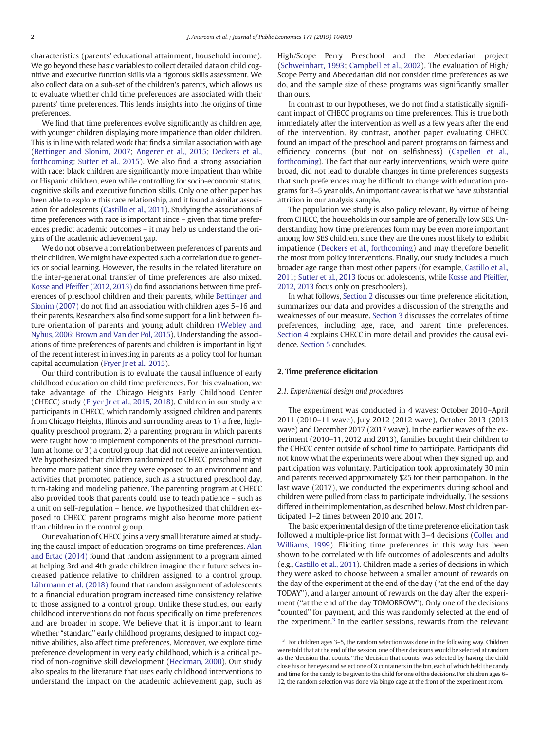characteristics (parents' educational attainment, household income). We go beyond these basic variables to collect detailed data on child cognitive and executive function skills via a rigorous skills assessment. We also collect data on a sub-set of the children's parents, which allows us to evaluate whether child time preferences are associated with their parents' time preferences. This lends insights into the origins of time preferences.

We find that time preferences evolve significantly as children age, with younger children displaying more impatience than older children. This is in line with related work that finds a similar association with age (Bettinger and Slonim, 2007; Angerer et al., 2015; Deckers et al., forthcoming; Sutter et al., 2015). We also find a strong association with race: black children are significantly more impatient than white or Hispanic children, even while controlling for socio-economic status, cognitive skills and executive function skills. Only one other paper has been able to explore this race relationship, and it found a similar association for adolescents (Castillo et al., 2011). Studying the associations of time preferences with race is important since – given that time preferences predict academic outcomes – it may help us understand the origins of the academic achievement gap.

We do not observe a correlation between preferences of parents and their children. We might have expected such a correlation due to genetics or social learning. However, the results in the related literature on the inter-generational transfer of time preferences are also mixed. Kosse and Pfeiffer (2012, 2013) do find associations between time preferences of preschool children and their parents, while Bettinger and Slonim (2007) do not find an association with children ages 5–16 and their parents. Researchers also find some support for a link between future orientation of parents and young adult children (Webley and Nyhus, 2006; Brown and Van der Pol, 2015). Understanding the associations of time preferences of parents and children is important in light of the recent interest in investing in parents as a policy tool for human capital accumulation (Fryer Jr et al., 2015).

Our third contribution is to evaluate the causal influence of early childhood education on child time preferences. For this evaluation, we take advantage of the Chicago Heights Early Childhood Center (CHECC) study (Fryer Jr et al., 2015, 2018). Children in our study are participants in CHECC, which randomly assigned children and parents from Chicago Heights, Illinois and surrounding areas to 1) a free, highquality preschool program, 2) a parenting program in which parents were taught how to implement components of the preschool curriculum at home, or 3) a control group that did not receive an intervention. We hypothesized that children randomized to CHECC preschool might become more patient since they were exposed to an environment and activities that promoted patience, such as a structured preschool day, turn-taking and modeling patience. The parenting program at CHECC also provided tools that parents could use to teach patience – such as a unit on self-regulation – hence, we hypothesized that children exposed to CHECC parent programs might also become more patient than children in the control group.

Our evaluation of CHECC joins a very small literature aimed at studying the causal impact of education programs on time preferences. Alan and Ertac (2014) found that random assignment to a program aimed at helping 3rd and 4th grade children imagine their future selves increased patience relative to children assigned to a control group. Lührmann et al. (2018) found that random assignment of adolescents to a financial education program increased time consistency relative to those assigned to a control group. Unlike these studies, our early childhood interventions do not focus specifically on time preferences and are broader in scope. We believe that it is important to learn whether "standard" early childhood programs, designed to impact cognitive abilities, also affect time preferences. Moreover, we explore time preference development in very early childhood, which is a critical period of non-cognitive skill development (Heckman, 2000). Our study also speaks to the literature that uses early childhood interventions to understand the impact on the academic achievement gap, such as High/Scope Perry Preschool and the Abecedarian project (Schweinhart, 1993; Campbell et al., 2002). The evaluation of High/ Scope Perry and Abecedarian did not consider time preferences as we do, and the sample size of these programs was significantly smaller than ours.

In contrast to our hypotheses, we do not find a statistically significant impact of CHECC programs on time preferences. This is true both immediately after the intervention as well as a few years after the end of the intervention. By contrast, another paper evaluating CHECC found an impact of the preschool and parent programs on fairness and efficiency concerns (but not on selfishness) (Capellen et al., forthcoming). The fact that our early interventions, which were quite broad, did not lead to durable changes in time preferences suggests that such preferences may be difficult to change with education programs for 3–5 year olds. An important caveat is that we have substantial attrition in our analysis sample.

The population we study is also policy relevant. By virtue of being from CHECC, the households in our sample are of generally low SES. Understanding how time preferences form may be even more important among low SES children, since they are the ones most likely to exhibit impatience (Deckers et al., forthcoming) and may therefore benefit the most from policy interventions. Finally, our study includes a much broader age range than most other papers (for example, Castillo et al., 2011; Sutter et al., 2013 focus on adolescents, while Kosse and Pfeiffer, 2012, 2013 focus only on preschoolers).

In what follows, Section 2 discusses our time preference elicitation, summarizes our data and provides a discussion of the strengths and weaknesses of our measure. Section 3 discusses the correlates of time preferences, including age, race, and parent time preferences. Section 4 explains CHECC in more detail and provides the causal evidence. Section 5 concludes.

#### 2. Time preference elicitation

#### *2.1. Experimental design and procedures*

The experiment was conducted in 4 waves: October 2010–April 2011 (2010–11 wave), July 2012 (2012 wave), October 2013 (2013 wave) and December 2017 (2017 wave). In the earlier waves of the experiment (2010–11, 2012 and 2013), families brought their children to the CHECC center outside of school time to participate. Participants did not know what the experiments were about when they signed up, and participation was voluntary. Participation took approximately 30 min and parents received approximately \$25 for their participation. In the last wave (2017), we conducted the experiments during school and children were pulled from class to participate individually. The sessions differed in their implementation, as described below. Most children participated 1–2 times between 2010 and 2017.

The basic experimental design of the time preference elicitation task followed a multiple-price list format with 3–4 decisions (Coller and Williams, 1999). Eliciting time preferences in this way has been shown to be correlated with life outcomes of adolescents and adults (e.g., Castillo et al., 2011). Children made a series of decisions in which they were asked to choose between a smaller amount of rewards on the day of the experiment at the end of the day ("at the end of the day TODAY"), and a larger amount of rewards on the day after the experiment ("at the end of the day TOMORROW"). Only one of the decisions "counted" for payment, and this was randomly selected at the end of the experiment.<sup>3</sup> In the earlier sessions, rewards from the relevant

<sup>&</sup>lt;sup>3</sup> For children ages 3-5, the random selection was done in the following way. Children were told that at the end of the session, one of their decisions would be selected at random as the 'decision that counts.' The 'decision that counts' was selected by having the child close his or her eyes and select one of X containers in the bin, each of which held the candy and time for the candy to be given to the child for one of the decisions. For children ages 6– 12, the random selection was done via bingo cage at the front of the experiment room.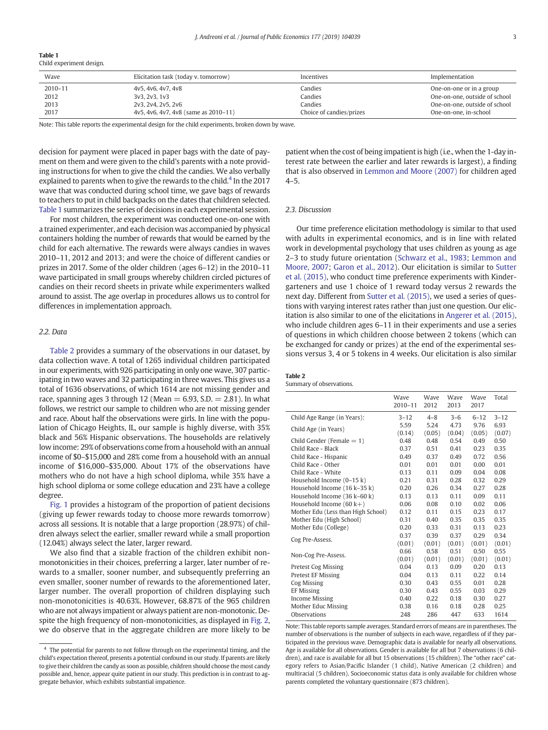Table 1 Child experiment design.

| Wave    | Elicitation task (today v. tomorrow)               | Incentives               | Implementation                |
|---------|----------------------------------------------------|--------------------------|-------------------------------|
| 2010-11 | 4v5, 4v6, 4v7, 4v8                                 | Candies                  | One-on-one or in a group      |
| 2012    | 3v3. 2v3. 1v3                                      | Candies                  | One-on-one, outside of school |
| 2013    | 2v3. 2v4. 2v5. 2v6                                 | Candies                  | One-on-one, outside of school |
| 2017    | $4v5$ , $4v6$ , $4v7$ , $4v8$ (same as $2010-11$ ) | Choice of candies/prizes | One-on-one, in-school         |

Note: This table reports the experimental design for the child experiments, broken down by wave.

decision for payment were placed in paper bags with the date of payment on them and were given to the child's parents with a note providing instructions for when to give the child the candies. We also verbally explained to parents when to give the rewards to the child.<sup>4</sup> In the 2017 wave that was conducted during school time, we gave bags of rewards to teachers to put in child backpacks on the dates that children selected. Table 1 summarizes the series of decisions in each experimental session.

For most children, the experiment was conducted one-on-one with a trained experimenter, and each decision was accompanied by physical containers holding the number of rewards that would be earned by the child for each alternative. The rewards were always candies in waves 2010–11, 2012 and 2013; and were the choice of different candies or prizes in 2017. Some of the older children (ages 6–12) in the 2010–11 wave participated in small groups whereby children circled pictures of candies on their record sheets in private while experimenters walked around to assist. The age overlap in procedures allows us to control for differences in implementation approach.

#### *2.2. Data*

Table 2 provides a summary of the observations in our dataset, by data collection wave. A total of 1265 individual children participated in our experiments, with 926 participating in only one wave, 307 participating in two waves and 32 participating in three waves. This gives us a total of 1636 observations, of which 1614 are not missing gender and race, spanning ages 3 through 12 (Mean  $= 6.93$ , S.D.  $= 2.81$ ). In what follows, we restrict our sample to children who are not missing gender and race. About half the observations were girls. In line with the population of Chicago Heights, IL, our sample is highly diverse, with 35% black and 56% Hispanic observations. The households are relatively low income: 29% of observations come from a household with an annual income of \$0–\$15,000 and 28% come from a household with an annual income of \$16,000–\$35,000. About 17% of the observations have mothers who do not have a high school diploma, while 35% have a high school diploma or some college education and 23% have a college degree.

Fig. 1 provides a histogram of the proportion of patient decisions (giving up fewer rewards today to choose more rewards tomorrow) across all sessions. It is notable that a large proportion (28.97%) of children always select the earlier, smaller reward while a small proportion (12.04%) always select the later, larger reward.

We also find that a sizable fraction of the children exhibit nonmonotonicities in their choices, preferring a larger, later number of rewards to a smaller, sooner number, and subsequently preferring an even smaller, sooner number of rewards to the aforementioned later, larger number. The overall proportion of children displaying such non-monotonicities is 40.63%. However, 68.87% of the 965 children who are not always impatient or always patient are non-monotonic. Despite the high frequency of non-monotonicities, as displayed in Fig. 2, we do observe that in the aggregate children are more likely to be patient when the cost of being impatient is high (i.e., when the 1-day interest rate between the earlier and later rewards is largest), a finding that is also observed in Lemmon and Moore (2007) for children aged  $4 - 5.$ 

#### *2.3. Discussion*

Our time preference elicitation methodology is similar to that used with adults in experimental economics, and is in line with related work in developmental psychology that uses children as young as age 2–3 to study future orientation (Schwarz et al., 1983; Lemmon and Moore, 2007; Garon et al., 2012). Our elicitation is similar to Sutter et al. (2015), who conduct time preference experiments with Kindergarteners and use 1 choice of 1 reward today versus 2 rewards the next day. Different from Sutter et al. (2015), we used a series of questions with varying interest rates rather than just one question. Our elicitation is also similar to one of the elicitations in Angerer et al. (2015), who include children ages 6–11 in their experiments and use a series of questions in which children choose between 2 tokens (which can be exchanged for candy or prizes) at the end of the experimental sessions versus 3, 4 or 5 tokens in 4 weeks. Our elicitation is also similar

#### Table 2

Summary of observations.

|                                    | Wave<br>2010-11 | Wave<br>2012 | Wave<br>2013 | Wave<br>2017 | Total    |
|------------------------------------|-----------------|--------------|--------------|--------------|----------|
| Child Age Range (in Years):        | $3 - 12$        | $4 - 8$      | $3 - 6$      | $6 - 12$     | $3 - 12$ |
| Child Age (in Years)               | 5.59            | 5.24         | 4.73         | 9.76         | 6.93     |
|                                    | (0.14)          | (0.05)       | (0.04)       | (0.05)       | (0.07)   |
| Child Gender (Female $= 1$ )       | 0.48            | 0.48         | 0.54         | 0.49         | 0.50     |
| Child Race - Black                 | 0.37            | 0.51         | 0.41         | 0.23         | 0.35     |
| Child Race - Hispanic              | 0.49            | 0.37         | 0.49         | 0.72         | 0.56     |
| Child Race - Other                 | 0.01            | 0.01         | 0.01         | 0.00         | 0.01     |
| Child Race - White                 | 0.13            | 0.11         | 0.09         | 0.04         | 0.08     |
| Household Income (0-15 k)          | 0.21            | 0.31         | 0.28         | 0.32         | 0.29     |
| Household Income (16 k-35 k)       | 0.20            | 0.26         | 0.34         | 0.27         | 0.28     |
| Household Income (36 k-60 k)       | 0.13            | 0.13         | 0.11         | 0.09         | 0.11     |
| Household Income $(60 k+)$         | 0.06            | 0.08         | 0.10         | 0.02         | 0.06     |
| Mother Edu (Less than High School) | 0.12            | 0.11         | 0.15         | 0.23         | 0.17     |
| Mother Edu (High School)           | 0.31            | 0.40         | 0.35         | 0.35         | 0.35     |
| Mother Edu (College)               | 0.20            | 0.33         | 0.31         | 0.13         | 0.23     |
| Cog Pre-Assess.                    | 0.37            | 0.39         | 0.37         | 0.29         | 0.34     |
|                                    | (0.01)          | (0.01)       | (0.01)       | (0.01)       | (0.01)   |
| Non-Cog Pre-Assess.                | 0.66            | 0.58         | 0.51         | 0.50         | 0.55     |
|                                    | (0.01)          | (0.01)       | (0.01)       | (0.01)       | (0.01)   |
| <b>Pretest Cog Missing</b>         | 0.04            | 0.13         | 0.09         | 0.20         | 0.13     |
| <b>Pretest EF Missing</b>          | 0.04            | 0.13         | 0.11         | 0.22         | 0.14     |
| Cog Missing                        | 0.30            | 0.43         | 0.55         | 0.01         | 0.28     |
| <b>EF Missing</b>                  | 0.30            | 0.43         | 0.55         | 0.03         | 0.29     |
| <b>Income Missing</b>              | 0.40            | 0.22         | 0.18         | 0.30         | 0.27     |
| Mother Educ Missing                | 0.38            | 0.16         | 0.18         | 0.28         | 0.25     |
| Observations                       | 248             | 286          | 447          | 633          | 1614     |

Note: This table reports sample averages. Standard errors of means are in parentheses. The number of observations is the number of subjects in each wave, regardless of if they participated in the previous wave. Demographic data is available for nearly all observations. Age is available for all observations. Gender is available for all but 7 observations (6 children), and race is available for all but 15 observations (15 children). The "other race" category refers to Asian/Pacific Islander (1 child), Native American (2 children) and multiracial (5 children). Socioeconomic status data is only available for children whose parents completed the voluntary questionnaire (873 children).

<sup>&</sup>lt;sup>4</sup> The potential for parents to not follow through on the experimental timing, and the child's expectation thereof, presents a potential confound in our study. If parents are likely to give their children the candy as soon as possible, children should choose the most candy possible and, hence, appear quite patient in our study. This prediction is in contrast to aggregate behavior, which exhibits substantial impatience.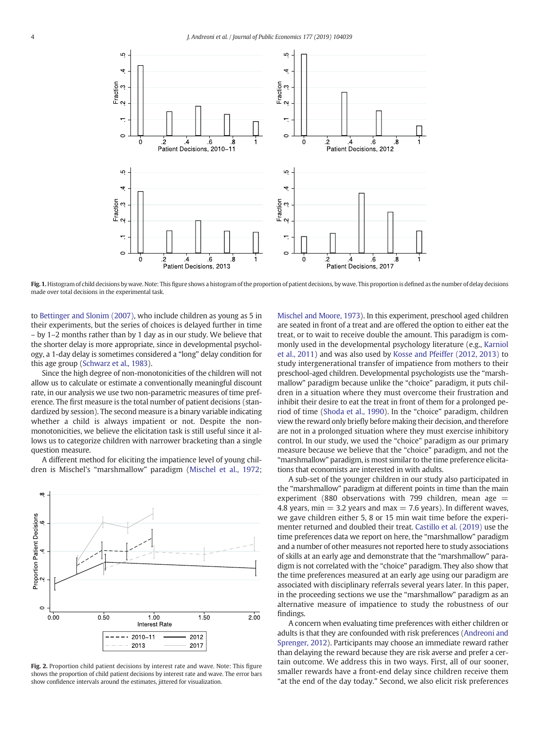

Fig. 1. Histogram of child decisions by wave. Note: This figure shows a histogram of the proportion of patient decisions, by wave. This proportion is defined as the number of delay decisions made over total decisions in the experimental task.

to Bettinger and Slonim (2007), who include children as young as 5 in their experiments, but the series of choices is delayed further in time – by 1–2 months rather than by 1 day as in our study. We believe that the shorter delay is more appropriate, since in developmental psychology, a 1-day delay is sometimes considered a "long" delay condition for this age group (Schwarz et al., 1983).

Since the high degree of non-monotonicities of the children will not allow us to calculate or estimate a conventionally meaningful discount rate, in our analysis we use two non-parametric measures of time preference. The first measure is the total number of patient decisions (standardized by session). The second measure is a binary variable indicating whether a child is always impatient or not. Despite the nonmonotonicities, we believe the elicitation task is still useful since it allows us to categorize children with narrower bracketing than a single question measure.

A different method for eliciting the impatience level of young children is Mischel's "marshmallow" paradigm (Mischel et al., 1972;



Fig. 2. Proportion child patient decisions by interest rate and wave. Note: This figure shows the proportion of child patient decisions by interest rate and wave. The error bars show confidence intervals around the estimates, jittered for visualization.

Mischel and Moore, 1973). In this experiment, preschool aged children are seated in front of a treat and are offered the option to either eat the treat, or to wait to receive double the amount. This paradigm is commonly used in the developmental psychology literature (e.g., Karniol et al., 2011) and was also used by Kosse and Pfeiffer (2012, 2013) to study intergenerational transfer of impatience from mothers to their preschool-aged children. Developmental psychologists use the "marshmallow" paradigm because unlike the "choice" paradigm, it puts children in a situation where they must overcome their frustration and inhibit their desire to eat the treat in front of them for a prolonged period of time (Shoda et al., 1990). In the "choice" paradigm, children view the reward only briefly before making their decision, and therefore are not in a prolonged situation where they must exercise inhibitory control. In our study, we used the "choice" paradigm as our primary measure because we believe that the "choice" paradigm, and not the "marshmallow" paradigm, is most similar to the time preference elicitations that economists are interested in with adults.

A sub-set of the younger children in our study also participated in the "marshmallow" paradigm at different points in time than the main experiment (880 observations with 799 children, mean age  $=$ 4.8 years, min  $=$  3.2 years and max  $=$  7.6 years). In different waves, we gave children either 5, 8 or 15 min wait time before the experimenter returned and doubled their treat. Castillo et al. (2019) use the time preferences data we report on here, the "marshmallow" paradigm and a number of other measures not reported here to study associations of skills at an early age and demonstrate that the "marshmallow" paradigm is not correlated with the "choice" paradigm. They also show that the time preferences measured at an early age using our paradigm are associated with disciplinary referrals several years later. In this paper, in the proceeding sections we use the "marshmallow" paradigm as an alternative measure of impatience to study the robustness of our findings.

A concern when evaluating time preferences with either children or adults is that they are confounded with risk preferences (Andreoni and Sprenger, 2012). Participants may choose an immediate reward rather than delaying the reward because they are risk averse and prefer a certain outcome. We address this in two ways. First, all of our sooner, smaller rewards have a front-end delay since children receive them "at the end of the day today." Second, we also elicit risk preferences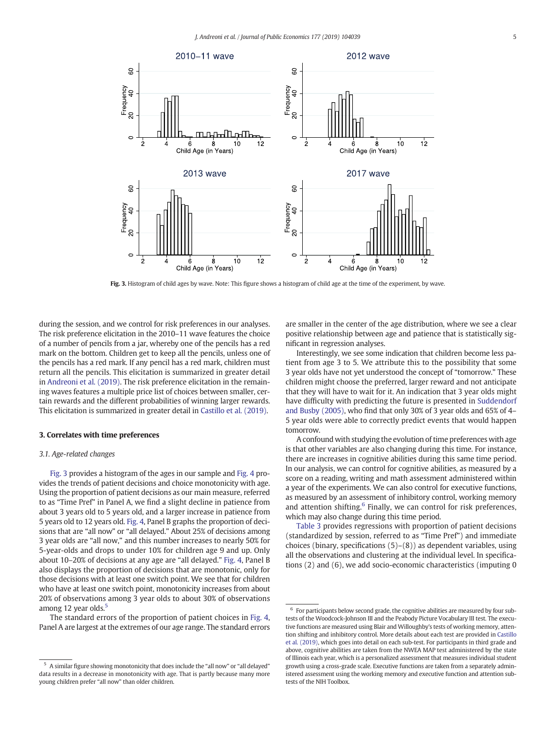

Fig. 3. Histogram of child ages by wave. Note: This figure shows a histogram of child age at the time of the experiment, by wave.

during the session, and we control for risk preferences in our analyses. The risk preference elicitation in the 2010–11 wave features the choice of a number of pencils from a jar, whereby one of the pencils has a red mark on the bottom. Children get to keep all the pencils, unless one of the pencils has a red mark. If any pencil has a red mark, children must return all the pencils. This elicitation is summarized in greater detail in Andreoni et al. (2019). The risk preference elicitation in the remaining waves features a multiple price list of choices between smaller, certain rewards and the different probabilities of winning larger rewards. This elicitation is summarized in greater detail in Castillo et al. (2019).

#### 3. Correlates with time preferences

#### *3.1. Age-related changes*

Fig. 3 provides a histogram of the ages in our sample and Fig. 4 provides the trends of patient decisions and choice monotonicity with age. Using the proportion of patient decisions as our main measure, referred to as "Time Pref" in Panel A, we find a slight decline in patience from about 3 years old to 5 years old, and a larger increase in patience from 5 years old to 12 years old. Fig. 4, Panel B graphs the proportion of decisions that are "all now" or "all delayed." About 25% of decisions among 3 year olds are "all now," and this number increases to nearly 50% for 5-year-olds and drops to under 10% for children age 9 and up. Only about 10–20% of decisions at any age are "all delayed." Fig. 4, Panel B also displays the proportion of decisions that are monotonic, only for those decisions with at least one switch point. We see that for children who have at least one switch point, monotonicity increases from about 20% of observations among 3 year olds to about 30% of observations among 12 year olds.<sup>5</sup>

The standard errors of the proportion of patient choices in Fig. 4, Panel A are largest at the extremes of our age range. The standard errors are smaller in the center of the age distribution, where we see a clear positive relationship between age and patience that is statistically significant in regression analyses.

Interestingly, we see some indication that children become less patient from age 3 to 5. We attribute this to the possibility that some 3 year olds have not yet understood the concept of "tomorrow." These children might choose the preferred, larger reward and not anticipate that they will have to wait for it. An indication that 3 year olds might have difficulty with predicting the future is presented in Suddendorf and Busby (2005), who find that only 30% of 3 year olds and 65% of 4– 5 year olds were able to correctly predict events that would happen tomorrow.

A confound with studying the evolution of time preferences with age is that other variables are also changing during this time. For instance, there are increases in cognitive abilities during this same time period. In our analysis, we can control for cognitive abilities, as measured by a score on a reading, writing and math assessment administered within a year of the experiments. We can also control for executive functions, as measured by an assessment of inhibitory control, working memory and attention shifting. $6$  Finally, we can control for risk preferences, which may also change during this time period.

Table 3 provides regressions with proportion of patient decisions (standardized by session, referred to as "Time Pref") and immediate choices (binary, specifications  $(5)-(8)$ ) as dependent variables, using all the observations and clustering at the individual level. In specifications (2) and (6), we add socio-economic characteristics (imputing 0

 $5$  A similar figure showing monotonicity that does include the "all now" or "all delayed" data results in a decrease in monotonicity with age. That is partly because many more young children prefer "all now" than older children.

 $6$  For participants below second grade, the cognitive abilities are measured by four subtests of the Woodcock-Johnson III and the Peabody Picture Vocabulary III test. The executive functions are measured using Blair and Willoughby's tests of working memory, attention shifting and inhibitory control. More details about each test are provided in Castillo et al. (2019), which goes into detail on each sub-test. For participants in third grade and above, cognitive abilities are taken from the NWEA MAP test administered by the state of Illinois each year, which is a personalized assessment that measures individual student growth using a cross-grade scale. Executive functions are taken from a separately administered assessment using the working memory and executive function and attention subtests of the NIH Toolbox.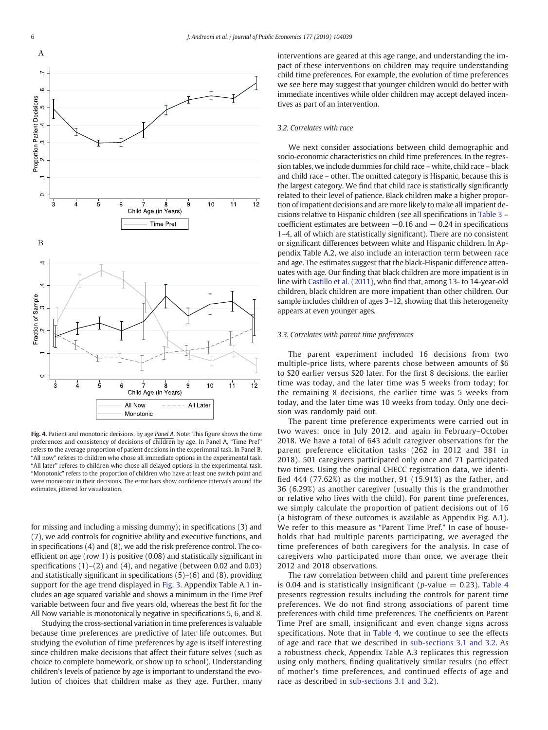

Fig. 4. Patient and monotonic decisions, by age *Panel A*. Note: This figure shows the time preferences and consistency of decisions of children by age. In Panel A, "Time Pref" refers to the average proportion of patient decisions in the experimntal task. In Panel B, "All now" referes to children who chose all immediate options in the experimental task. "All later" referes to children who chose all delayed options in the experimental task. "Monotonic" refers to the proportion of children who have at least one switch point and were monotonic in their decisions. The error bars show confidence intervals around the estimates, jittered for visualization.

for missing and including a missing dummy); in specifications (3) and (7), we add controls for cognitive ability and executive functions, and in specifications (4) and (8), we add the risk preference control. The coefficient on age (row 1) is positive (0.08) and statistically significant in specifications  $(1)$ – $(2)$  and  $(4)$ , and negative (between 0.02 and 0.03) and statistically significant in specifications  $(5)-(6)$  and  $(8)$ , providing support for the age trend displayed in Fig. 3. Appendix Table A.1 includes an age squared variable and shows a minimum in the Time Pref variable between four and five years old, whereas the best fit for the All Now variable is monotonically negative in specifications 5, 6, and 8.

Studying the cross-sectional variation in time preferences is valuable because time preferences are predictive of later life outcomes. But studying the evolution of time preferences by age is itself interesting since children make decisions that affect their future selves (such as choice to complete homework, or show up to school). Understanding children's levels of patience by age is important to understand the evolution of choices that children make as they age. Further, many interventions are geared at this age range, and understanding the impact of these interventions on children may require understanding child time preferences. For example, the evolution of time preferences we see here may suggest that younger children would do better with immediate incentives while older children may accept delayed incentives as part of an intervention.

#### *3.2. Correlates with race*

We next consider associations between child demographic and socio-economic characteristics on child time preferences. In the regression tables, we include dummies for child race – white, child race – black and child race – other. The omitted category is Hispanic, because this is the largest category. We find that child race is statistically significantly related to their level of patience. Black children make a higher proportion of impatient decisions and are more likely to make all impatient decisions relative to Hispanic children (see all specifications in Table 3 – coefficient estimates are between  $-0.16$  and  $-0.24$  in specifications 1–4, all of which are statistically significant). There are no consistent or significant differences between white and Hispanic children. In Appendix Table A.2, we also include an interaction term between race and age. The estimates suggest that the black-Hispanic difference attenuates with age. Our finding that black children are more impatient is in line with Castillo et al. (2011), who find that, among 13- to 14-year-old children, black children are more impatient than other children. Our sample includes children of ages 3–12, showing that this heterogeneity appears at even younger ages.

#### *3.3. Correlates with parent time preferences*

The parent experiment included 16 decisions from two multiple-price lists, where parents chose between amounts of \$6 to \$20 earlier versus \$20 later. For the first 8 decisions, the earlier time was today, and the later time was 5 weeks from today; for the remaining 8 decisions, the earlier time was 5 weeks from today, and the later time was 10 weeks from today. Only one decision was randomly paid out.

The parent time preference experiments were carried out in two waves: once in July 2012, and again in February–October 2018. We have a total of 643 adult caregiver observations for the parent preference elicitation tasks (262 in 2012 and 381 in 2018). 501 caregivers participated only once and 71 participated two times. Using the original CHECC registration data, we identified 444 (77.62%) as the mother, 91 (15.91%) as the father, and 36 (6.29%) as another caregiver (usually this is the grandmother or relative who lives with the child). For parent time preferences, we simply calculate the proportion of patient decisions out of 16 (a histogram of these outcomes is available as Appendix Fig. A.1). We refer to this measure as "Parent Time Pref." In case of households that had multiple parents participating, we averaged the time preferences of both caregivers for the analysis. In case of caregivers who participated more than once, we average their 2012 and 2018 observations.

The raw correlation between child and parent time preferences is 0.04 and is statistically insignificant ( $p$ -value = 0.23). Table 4 presents regression results including the controls for parent time preferences. We do not find strong associations of parent time preferences with child time preferences. The coefficients on Parent Time Pref are small, insignificant and even change signs across specifications. Note that in Table 4, we continue to see the effects of age and race that we described in sub-sections 3.1 and 3.2. As a robustness check, Appendix Table A.3 replicates this regression using only mothers, finding qualitatively similar results (no effect of mother's time preferences, and continued effects of age and race as described in sub-sections 3.1 and 3.2).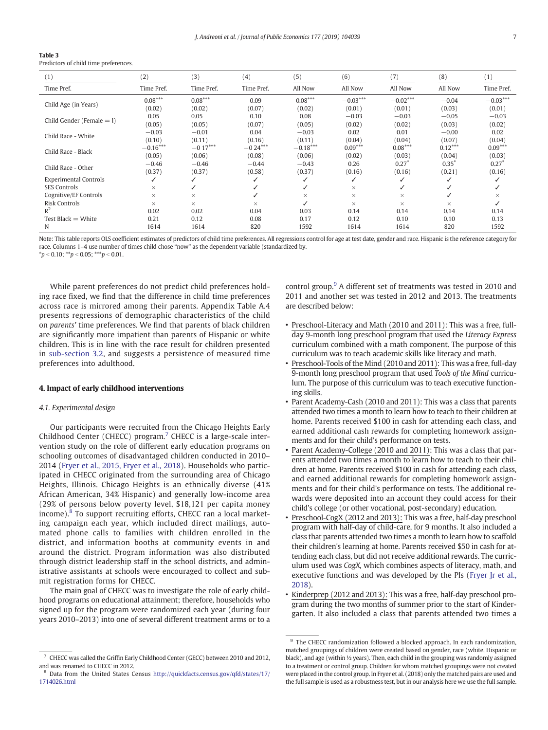|--|

Predictors of child time preferences.

| (1)                          | (2)        | (3)        | (4)        | (5)        | (6)        | (7)                 | (8)       | (1)        |
|------------------------------|------------|------------|------------|------------|------------|---------------------|-----------|------------|
| Time Pref.                   | Time Pref. | Time Pref. | Time Pref. | All Now    | All Now    | All Now             | All Now   | Time Pref. |
| Child Age (in Years)         | $0.08***$  | $0.08***$  | 0.09       | $0.08***$  | $-0.03***$ | $-0.02***$          | $-0.04$   | $-0.03***$ |
|                              | (0.02)     | (0.02)     | (0.07)     | (0.02)     | (0.01)     | (0.01)              | (0.03)    | (0.01)     |
| Child Gender (Female $=$ 1)  | 0.05       | 0.05       | 0.10       | 0.08       | $-0.03$    | $-0.03$             | $-0.05$   | $-0.03$    |
|                              | (0.05)     | (0.05)     | (0.07)     | (0.05)     | (0.02)     | (0.02)              | (0.03)    | (0.02)     |
| Child Race - White           | $-0.03$    | $-0.01$    | 0.04       | $-0.03$    | 0.02       | 0.01                | $-0.00$   | 0.02       |
|                              | (0.10)     | (0.11)     | (0.16)     | (0.11)     | (0.04)     | (0.04)              | (0.07)    | (0.04)     |
| Child Race - Black           | $-0.16***$ | $-0.17***$ | $-0.24***$ | $-0.18***$ | $0.09***$  | $0.08***$           | $0.12***$ | $0.09***$  |
|                              | (0.05)     | (0.06)     | (0.08)     | (0.06)     | (0.02)     | (0.03)              | (0.04)    | (0.03)     |
| Child Race - Other           | $-0.46$    | $-0.46$    | $-0.44$    | $-0.43$    | 0.26       | $0.27$ <sup>*</sup> | $0.35^*$  | $0.27*$    |
|                              | (0.37)     | (0.37)     | (0.58)     | (0.37)     | (0.16)     | (0.16)              | (0.21)    | (0.16)     |
| <b>Experimental Controls</b> |            |            |            |            | ✓          |                     | ✓         |            |
| <b>SES Controls</b>          | $\times$   |            |            |            | $\times$   |                     | ✓         |            |
| Cognitive/EF Controls        | $\times$   | $\times$   |            | $\times$   | $\times$   | $\times$            |           | ×          |
| <b>Risk Controls</b>         | X          | $\times$   | ×          |            | $\times$   | $\times$            | $\times$  |            |
| $R^2$                        | 0.02       | 0.02       | 0.04       | 0.03       | 0.14       | 0.14                | 0.14      | 0.14       |
| Test Black $=$ White         | 0.21       | 0.12       | 0.08       | 0.17       | 0.12       | 0.10                | 0.10      | 0.13       |
| N                            | 1614       | 1614       | 820        | 1592       | 1614       | 1614                | 820       | 1592       |

Note: This table reports OLS coefficient estimates of predictors of child time preferences. All regressions control for age at test date, gender and race. Hispanic is the reference category for race. Columns 1–4 use number of times child chose "now" as the dependent variable (standardized by.

 $*p < 0.10$ ;  $*^{*}p < 0.05$ ;  $*^{**}p < 0.01$ .

While parent preferences do not predict child preferences holding race fixed, we find that the difference in child time preferences across race is mirrored among their parents. Appendix Table A.4 presents regressions of demographic characteristics of the child on *parents'* time preferences. We find that parents of black children are significantly more impatient than parents of Hispanic or white children. This is in line with the race result for children presented in sub-section 3.2, and suggests a persistence of measured time preferences into adulthood.

#### 4. Impact of early childhood interventions

#### *4.1. Experimental design*

Our participants were recruited from the Chicago Heights Early Childhood Center (CHECC) program.<sup>7</sup> CHECC is a large-scale intervention study on the role of different early education programs on schooling outcomes of disadvantaged children conducted in 2010– 2014 (Fryer et al., 2015, Fryer et al., 2018). Households who participated in CHECC originated from the surrounding area of Chicago Heights, Illinois. Chicago Heights is an ethnically diverse (41% African American, 34% Hispanic) and generally low-income area (29% of persons below poverty level, \$18,121 per capita money income).<sup>8</sup> To support recruiting efforts, CHECC ran a local marketing campaign each year, which included direct mailings, automated phone calls to families with children enrolled in the district, and information booths at community events in and around the district. Program information was also distributed through district leadership staff in the school districts, and administrative assistants at schools were encouraged to collect and submit registration forms for CHECC.

The main goal of CHECC was to investigate the role of early childhood programs on educational attainment; therefore, households who signed up for the program were randomized each year (during four years 2010–2013) into one of several different treatment arms or to a control group.<sup>9</sup> A different set of treatments was tested in 2010 and 2011 and another set was tested in 2012 and 2013. The treatments are described below:

- Preschool-Literacy and Math (2010 and 2011): This was a free, fullday 9-month long preschool program that used the *Literacy Express* curriculum combined with a math component. The purpose of this curriculum was to teach academic skills like literacy and math.
- Preschool-Tools of the Mind (2010 and 2011): This was a free, full-day 9-month long preschool program that used *Tools of the Mind* curriculum. The purpose of this curriculum was to teach executive functioning skills.
- Parent Academy-Cash (2010 and 2011): This was a class that parents attended two times a month to learn how to teach to their children at home. Parents received \$100 in cash for attending each class, and earned additional cash rewards for completing homework assignments and for their child's performance on tests.
- Parent Academy-College (2010 and 2011): This was a class that parents attended two times a month to learn how to teach to their children at home. Parents received \$100 in cash for attending each class, and earned additional rewards for completing homework assignments and for their child's performance on tests. The additional rewards were deposited into an account they could access for their child's college (or other vocational, post-secondary) education.
- Preschool-CogX (2012 and 2013): This was a free, half-day preschool program with half-day of child-care, for 9 months. It also included a class that parents attended two times a month to learn how to scaffold their children's learning at home. Parents received \$50 in cash for attending each class, but did not receive additional rewards. The curriculum used was *CogX,* which combines aspects of literacy, math, and executive functions and was developed by the PIs (Fryer Jr et al., 2018).
- Kinderprep (2012 and 2013): This was a free, half-day preschool program during the two months of summer prior to the start of Kindergarten. It also included a class that parents attended two times a

<sup>7</sup> CHECC was called the Griffin Early Childhood Center (GECC) between 2010 and 2012, and was renamed to CHECC in 2012.

<sup>8</sup> Data from the United States Census http://quickfacts.census.gov/qfd/states/17/ 1714026.html

<sup>&</sup>lt;sup>9</sup> The CHECC randomization followed a blocked approach. In each randomization, matched groupings of children were created based on gender, race (white, Hispanic or black), and age (within ½ years). Then, each child in the grouping was randomly assigned to a treatment or control group. Children for whom matched groupings were not created were placed in the control group. In Fryer et al. (2018) only the matched pairs are used and the full sample is used as a robustness test, but in our analysis here we use the full sample.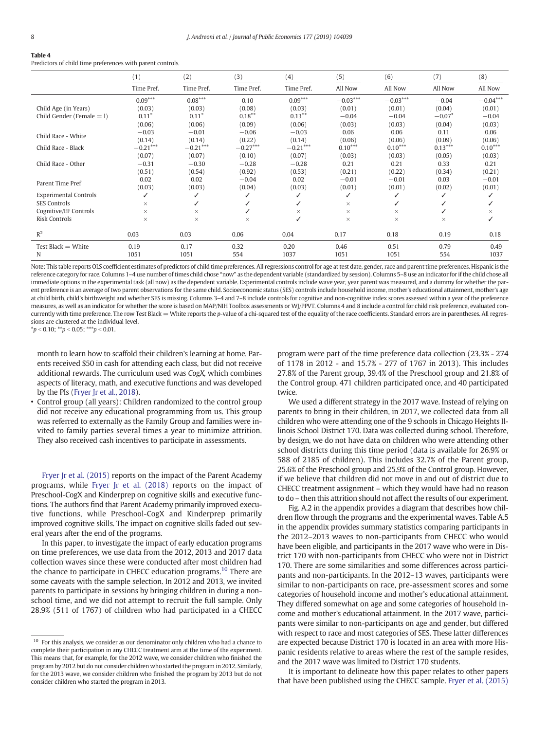## Table 4

Predictors of child time preferences with parent controls.

|                              | (1)        | (2)                   | (3)        | (4)          | (5)        | (6)        | (7)       | (8)        |
|------------------------------|------------|-----------------------|------------|--------------|------------|------------|-----------|------------|
|                              | Time Pref. | Time Pref.            | Time Pref. | Time Pref.   | All Now    | All Now    | All Now   | All Now    |
|                              | $0.09***$  | $0.08^{\ast\ast\ast}$ | 0.10       | $0.09***$    | $-0.03***$ | $-0.03***$ | $-0.04$   | $-0.04***$ |
| Child Age (in Years)         | (0.03)     | (0.03)                | (0.08)     | (0.03)       | (0.01)     | (0.01)     | (0.04)    | (0.01)     |
| Child Gender (Female $= 1$ ) | $0.11*$    | $0.11*$               | $0.18***$  | $0.13***$    | $-0.04$    | $-0.04$    | $-0.07*$  | $-0.04$    |
|                              | (0.06)     | (0.06)                | (0.09)     | (0.06)       | (0.03)     | (0.03)     | (0.04)    | (0.03)     |
| Child Race - White           | $-0.03$    | $-0.01$               | $-0.06$    | $-0.03$      | 0.06       | 0.06       | 0.11      | 0.06       |
|                              | (0.14)     | (0.14)                | (0.22)     | (0.14)       | (0.06)     | (0.06)     | (0.09)    | (0.06)     |
| Child Race - Black           | $-0.21***$ | $-0.21***$            | $-0.27***$ | $-0.21***$   | $0.10***$  | $0.10***$  | $0.13***$ | $0.10***$  |
|                              | (0.07)     | (0.07)                | (0.10)     | (0.07)       | (0.03)     | (0.03)     | (0.05)    | (0.03)     |
| Child Race - Other           | $-0.31$    | $-0.30$               | $-0.28$    | $-0.28$      | 0.21       | 0.21       | 0.33      | 0.21       |
|                              | (0.51)     | (0.54)                | (0.92)     | (0.53)       | (0.21)     | (0.22)     | (0.34)    | (0.21)     |
| Parent Time Pref             | 0.02       | 0.02                  | $-0.04$    | 0.02         | $-0.01$    | $-0.01$    | 0.03      | $-0.01$    |
|                              | (0.03)     | (0.03)                | (0.04)     | (0.03)       | (0.01)     | (0.01)     | (0.02)    | (0.01)     |
| <b>Experimental Controls</b> |            |                       |            |              |            |            |           |            |
| <b>SES Controls</b>          | $\times$   |                       |            |              | $\times$   | ✓          | ✓         |            |
| Cognitive/EF Controls        | $\times$   | $\times$              |            | $\times$     | $\times$   | $\times$   | ✓         | $\times$   |
| Risk Controls                | $\times$   | $\times$              | $\times$   | $\checkmark$ | $\times$   | $\times$   | $\times$  | ✓          |
|                              |            |                       |            |              |            |            |           |            |
| $R^2$                        | 0.03       | 0.03                  | 0.06       | 0.04         | 0.17       | 0.18       | 0.19      | 0.18       |
| $Test Black = White$         | 0.19       | 0.17                  | 0.32       | 0.20         | 0.46       | 0.51       | 0.79      | 0.49       |
| N                            | 1051       | 1051                  | 554        | 1037         | 1051       | 1051       | 554       | 1037       |

Note: This table reports OLS coefficient estimates of predictors of child time preferences. All regressions control for age at test date, gender, race and parent time preferences. Hispanic is the reference category for race. Columns 1-4 use number of times child chose "now" as the dependent variable (standardized by session). Columns 5-8 use an indicator for if the child chose all immediate options in the experimental task (all now) as the dependent variable. Experimental controls include wave year, year parent was measured, and a dummy for whether the parent preference is an average of two parent observations for the same child. Socioeconomic status (SES) controls include household income, mother's educational attainment, mother's age at child birth, child's birthweight and whether SES is missing. Columns 3-4 and 7-8 include controls for cognitive and non-cognitive index scores assessed within a year of the preference measures, as well as an indicator for whether the score is based on MAP/NIH Toolbox assessments or WJ/PPVT. Columns 4 and 8 include a control for child risk preference, evaluated concurrently with time preference. The row Test Black = White reports the *p*-value of a chi-squared test of the equality of the race coefficients. Standard errors are in parentheses. All regressions are clustered at the individual level.

 $*p < 0.10$ ;  $*^*p < 0.05$ ;  $*^{**}p < 0.01$ .

month to learn how to scaffold their children's learning at home. Parents received \$50 in cash for attending each class, but did not receive additional rewards. The curriculum used was *CogX,* which combines aspects of literacy, math, and executive functions and was developed by the PIs (Fryer Jr et al., 2018).

• Control group (all years): Children randomized to the control group did not receive any educational programming from us. This group was referred to externally as the Family Group and families were invited to family parties several times a year to minimize attrition. They also received cash incentives to participate in assessments.

Fryer Jr et al. (2015) reports on the impact of the Parent Academy programs, while Fryer Jr et al. (2018) reports on the impact of Preschool-CogX and Kinderprep on cognitive skills and executive functions. The authors find that Parent Academy primarily improved executive functions, while Preschool-CogX and Kinderprep primarily improved cognitive skills. The impact on cognitive skills faded out several years after the end of the programs.

In this paper, to investigate the impact of early education programs on time preferences, we use data from the 2012, 2013 and 2017 data collection waves since these were conducted after most children had the chance to participate in CHECC education programs.<sup>10</sup> There are some caveats with the sample selection. In 2012 and 2013, we invited parents to participate in sessions by bringing children in during a nonschool time, and we did not attempt to recruit the full sample. Only 28.9% (511 of 1767) of children who had participated in a CHECC program were part of the time preference data collection (23.3% - 274 of 1178 in 2012 - and 15.7% - 277 of 1767 in 2013). This includes 27.8% of the Parent group, 39.4% of the Preschool group and 21.8% of the Control group. 471 children participated once, and 40 participated twice.

We used a different strategy in the 2017 wave. Instead of relying on parents to bring in their children, in 2017, we collected data from all children who were attending one of the 9 schools in Chicago Heights Illinois School District 170. Data was collected during school. Therefore, by design, we do not have data on children who were attending other school districts during this time period (data is available for 26.9% or 588 of 2185 of children). This includes 32.7% of the Parent group, 25.6% of the Preschool group and 25.9% of the Control group. However, if we believe that children did not move in and out of district due to CHECC treatment assignment – which they would have had no reason to do – then this attrition should not affect the results of our experiment.

Fig. A.2 in the appendix provides a diagram that describes how children flow through the programs and the experimental waves. Table A.5 in the appendix provides summary statistics comparing participants in the 2012–2013 waves to non-participants from CHECC who would have been eligible, and participants in the 2017 wave who were in District 170 with non-participants from CHECC who were not in District 170. There are some similarities and some differences across participants and non-participants. In the 2012–13 waves, participants were similar to non-participants on race, pre-assessment scores and some categories of household income and mother's educational attainment. They differed somewhat on age and some categories of household income and mother's educational attainment. In the 2017 wave, participants were similar to non-participants on age and gender, but differed with respect to race and most categories of SES. These latter differences are expected because District 170 is located in an area with more Hispanic residents relative to areas where the rest of the sample resides, and the 2017 wave was limited to District 170 students.

It is important to delineate how this paper relates to other papers that have been published using the CHECC sample. Fryer et al. (2015)

 $10$  For this analysis, we consider as our denominator only children who had a chance to complete their participation in any CHECC treatment arm at the time of the experiment. This means that, for example, for the 2012 wave, we consider children who finished the program by 2012 but do not consider children who started the program in 2012. Similarly, for the 2013 wave, we consider children who finished the program by 2013 but do not consider children who started the program in 2013.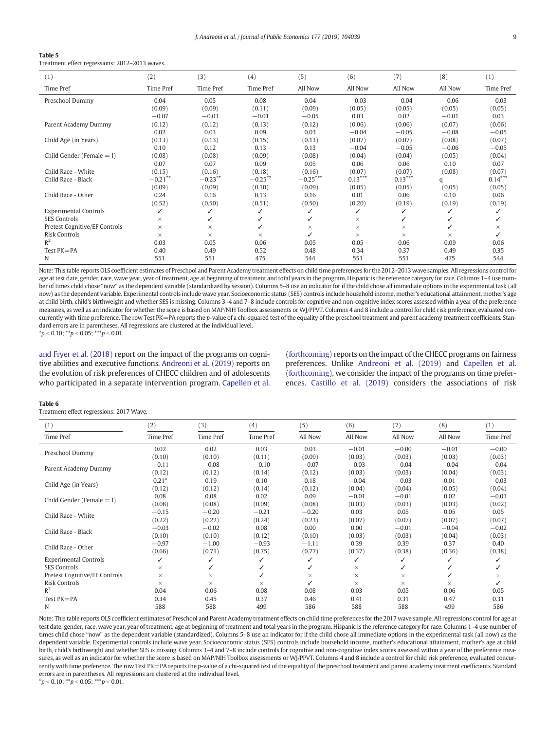Treatment effect regressions: 2012–2013 waves.

| (1)                           | (2)        | (3)        | (4)        | (5)        | (6)       | (7)       | (8)      | (1)       |
|-------------------------------|------------|------------|------------|------------|-----------|-----------|----------|-----------|
| Time Pref                     | Time Pref  | Time Pref  | Time Pref  | All Now    | All Now   | All Now   | All Now  | Time Pref |
| Preschool Dummy               | 0.04       | 0.05       | 0.08       | 0.04       | $-0.03$   | $-0.04$   | $-0.06$  | $-0.03$   |
|                               | (0.09)     | (0.09)     | (0.11)     | (0.09)     | (0.05)    | (0.05)    | (0.05)   | (0.05)    |
|                               | $-0.07$    | $-0.03$    | $-0.01$    | $-0.05$    | 0.03      | 0.02      | $-0.01$  | 0.03      |
| Parent Academy Dummy          | (0.12)     | (0.12)     | (0.13)     | (0.12)     | (0.06)    | (0.06)    | (0.07)   | (0.06)    |
|                               | 0.02       | 0.03       | 0.09       | 0.03       | $-0.04$   | $-0.05$   | $-0.08$  | $-0.05$   |
| Child Age (in Years)          | (0.13)     | (0.13)     | (0.15)     | (0.13)     | (0.07)    | (0.07)    | (0.08)   | (0.07)    |
|                               | 0.10       | 0.12       | 0.13       | 0.13       | $-0.04$   | $-0.05$   | $-0.06$  | $-0.05$   |
| Child Gender (Female $=$ 1)   | (0.08)     | (0.08)     | (0.09)     | (0.08)     | (0.04)    | (0.04)    | (0.05)   | (0.04)    |
|                               | 0.07       | 0.07       | 0.09       | 0.05       | 0.06      | 0.06      | 0.10     | 0.07      |
| Child Race - White            | (0.15)     | (0.16)     | (0.18)     | (0.16)     | (0.07)    | (0.07)    | (0.08)   | (0.07)    |
| Child Race - Black            | $-0.21$ ** | $-0.23***$ | $-0.25***$ | $-0.25***$ | $0.13***$ | $0.13***$ | q        | $0.14***$ |
|                               | (0.09)     | (0.09)     | (0.10)     | (0.09)     | (0.05)    | (0.05)    | (0.05)   | (0.05)    |
| Child Race - Other            | 0.24       | 0.16       | 0.13       | 0.16       | 0.01      | 0.06      | 0.10     | 0.06      |
|                               | (0.52)     | (0.50)     | (0.51)     | (0.50)     | (0.20)    | (0.19)    | (0.19)   | (0.19)    |
| <b>Experimental Controls</b>  | ✓          | ✓          | ✓          | ✓          | ✓         | ✓         | ✓        |           |
| <b>SES Controls</b>           | $\times$   | ✓          | ✓          | ✓          | $\times$  |           | ✓        |           |
| Pretest Cognitive/EF Controls | $\times$   | $\times$   | ✓          | ×          | ×         | $\times$  | ✓        | $\times$  |
| <b>Risk Controls</b>          | $\times$   | $\times$   | $\times$   | ✓          | $\times$  | $\times$  | $\times$ |           |
| $R^2$                         | 0.03       | 0.05       | 0.06       | 0.05       | 0.05      | 0.06      | 0.09     | 0.06      |
| Test PK=PA                    | 0.40       | 0.49       | 0.52       | 0.48       | 0.34      | 0.37      | 0.49     | 0.35      |
| N                             | 551        | 551        | 475        | 544        | 551       | 551       | 475      | 544       |

Note: This table reports OLS coefficient estimates of Preschool and Parent Academy treatment effects on child time preferences for the 2012-2013 wave samples. All regressions control for age at test date, gender, race, wave year, year of treatment, age at beginning of treatment and total years in the program. Hispanic is the reference category for race. Columns 1-4 use number of times child chose "now" as the dependent variable (standardized by session). Columns 5–8 use an indicator for if the child chose all immediate options in the experimental task (all now) as the dependent variable. Experimental controls include wave year. Socioeconomic status (SES) controls include household income, mother's educational attainment, mother's age at child birth, child's birthweight and whether SES is missing. Columns 3-4 and 7-8 include controls for cognitive and non-cognitive index scores assessed within a year of the preference measures, as well as an indicator for whether the score is based on MAP/NIH Toolbox assessments or WJ/PPVT. Columns 4 and 8 include a control for child risk preference, evaluated concurrently with time preference. The row Test PK=PA reports the *p*-value of a chi-squared test of the equality of the preschool treatment and parent academy treatment coefficients. Standard errors are in parentheses. All regressions are clustered at the individual level.

 $*p < 0.10$ ;  $**p < 0.05$ ;  $***p < 0.01$ .

and Fryer et al. (2018) report on the impact of the programs on cognitive abilities and executive functions. Andreoni et al. (2019) reports on the evolution of risk preferences of CHECC children and of adolescents who participated in a separate intervention program. Capellen et al. (forthcoming) reports on the impact of the CHECC programs on fairness preferences. Unlike Andreoni et al. (2019) and Capellen et al. (forthcoming), we consider the impact of the programs on time preferences. Castillo et al. (2019) considers the associations of risk

#### Table 6

Treatment effect regressions: 2017 Wave.

| (1)                           | (2)       | (3)       | (4)       | (5)      | (6)      | (7)      | (8)      | (1)       |
|-------------------------------|-----------|-----------|-----------|----------|----------|----------|----------|-----------|
| Time Pref                     | Time Pref | Time Pref | Time Pref | All Now  | All Now  | All Now  | All Now  | Time Pref |
|                               | 0.02      | 0.02      | 0.03      | 0.03     | $-0.01$  | $-0.00$  | $-0.01$  | $-0.00$   |
| Preschool Dummy               | (0.10)    | (0.10)    | (0.11)    | (0.09)   | (0.03)   | (0.03)   | (0.03)   | (0.03)    |
|                               | $-0.11$   | $-0.08$   | $-0.10$   | $-0.07$  | $-0.03$  | $-0.04$  | $-0.04$  | $-0.04$   |
| Parent Academy Dummy          | (0.12)    | (0.12)    | (0.14)    | (0.12)   | (0.03)   | (0.03)   | (0.04)   | (0.03)    |
|                               | $0.21*$   | 0.19      | 0.10      | 0.18     | $-0.04$  | $-0.03$  | 0.01     | $-0.03$   |
| Child Age (in Years)          | (0.12)    | (0.12)    | (0.14)    | (0.12)   | (0.04)   | (0.04)   | (0.05)   | (0.04)    |
| Child Gender (Female $= 1$ )  | 0.08      | 0.08      | 0.02      | 0.09     | $-0.01$  | $-0.01$  | 0.02     | $-0.01$   |
|                               | (0.08)    | (0.08)    | (0.09)    | (0.08)   | (0.03)   | (0.03)   | (0.03)   | (0.02)    |
| Child Race - White            | $-0.15$   | $-0.20$   | $-0.21$   | $-0.20$  | 0.03     | 0.05     | 0.05     | 0.05      |
|                               | (0.22)    | (0.22)    | (0.24)    | (0.23)   | (0.07)   | (0.07)   | (0.07)   | (0.07)    |
|                               | $-0.03$   | $-0.02$   | 0.08      | 0.00     | 0.00     | $-0.01$  | $-0.04$  | $-0.02$   |
| Child Race - Black            | (0.10)    | (0.10)    | (0.12)    | (0.10)   | (0.03)   | (0.03)   | (0.04)   | (0.03)    |
| Child Race - Other            | $-0.97$   | $-1.00$   | $-0.93$   | $-1.11$  | 0.39     | 0.39     | 0.37     | 0.40      |
|                               | (0.66)    | (0.71)    | (0.75)    | (0.77)   | (0.37)   | (0.38)   | (0.36)   | (0.38)    |
| <b>Experimental Controls</b>  | ✓         | J         | ✓         | ✓        | ✓        |          | ✓        |           |
| <b>SES Controls</b>           | $\times$  | ✓         | ✓         | ✓        | $\times$ | √        | ✓        |           |
| Pretest Cognitive/EF Controls | $\times$  | $\times$  | ✓         | $\times$ | $\times$ | $\times$ |          | $\times$  |
| <b>Risk Controls</b>          | $\times$  | $\times$  | $\times$  | ℐ        | $\times$ | $\times$ | $\times$ |           |
| $R^2$                         | 0.04      | 0.06      | 0.08      | 0.08     | 0.03     | 0.05     | 0.06     | 0.05      |
| Test PK=PA                    | 0.34      | 0.45      | 0.37      | 0.46     | 0.41     | 0.31     | 0.47     | 0.31      |
| N                             | 588       | 588       | 499       | 586      | 588      | 588      | 499      | 586       |

Note: This table reports OLS coefficient estimates of Preschool and Parent Academy treatment effects on child time preferences for the 2017 wave sample. All regressions control for age at test date, gender, race, wave year, year of treatment, age at beginning of treatment and total years in the program. Hispanic is the reference category for race. Columns 1-4 use number of times child chose "now" as the dependent variable (standardized). Columns 5-8 use an indicator for if the child chose all immediate options in the experimental task (all now) as the dependent variable. Experimental controls include wave year. Socioeconomic status (SES) controls include household income, mother's educational attainment, mother's age at child birth, child's birthweight and whether SES is missing. Columns 3–4 and 7–8 include controls for cognitive and non-cognitive index scores assessed within a year of the preference measures, as well as an indicator for whether the score is based on MAP/NIH Toolbox assessments or WJ/PPVT. Columns 4 and 8 include a control for child risk preference, evaluated concurrently with time preference. The row Test PK=PA reports the *p*-value of a chi-squared test of the equality of the preschool treatment and parent academy treatment coefficients. Standard errors are in parentheses. All regressions are clustered at the individual level.  $* p < 0.10$ ;  $* p < 0.05$ ;  $* * p < 0.01$ .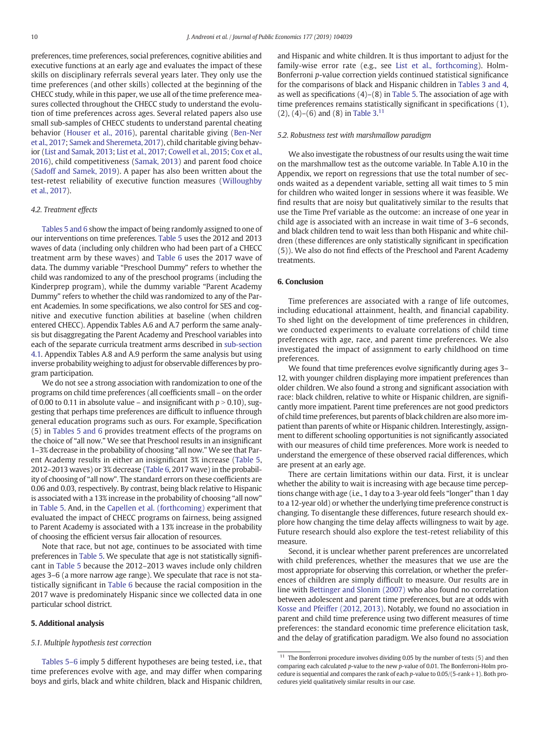preferences, time preferences, social preferences, cognitive abilities and executive functions at an early age and evaluates the impact of these skills on disciplinary referrals several years later. They only use the time preferences (and other skills) collected at the beginning of the CHECC study, while in this paper, we use all of the time preference measures collected throughout the CHECC study to understand the evolution of time preferences across ages. Several related papers also use small sub-samples of CHECC students to understand parental cheating behavior (Houser et al., 2016), parental charitable giving (Ben-Ner et al., 2017; Samek and Sheremeta, 2017), child charitable giving behavior (List and Samak, 2013; List et al., 2017; Cowell et al., 2015; Cox et al., 2016), child competitiveness (Samak, 2013) and parent food choice (Sadoff and Samek, 2019). A paper has also been written about the test-retest reliability of executive function measures (Willoughby et al., 2017).

#### *4.2. Treatment effects*

Tables 5 and 6 show the impact of being randomly assigned to one of our interventions on time preferences. Table 5 uses the 2012 and 2013 waves of data (including only children who had been part of a CHECC treatment arm by these waves) and Table 6 uses the 2017 wave of data. The dummy variable "Preschool Dummy" refers to whether the child was randomized to any of the preschool programs (including the Kinderprep program), while the dummy variable "Parent Academy Dummy" refers to whether the child was randomized to any of the Parent Academies. In some specifications, we also control for SES and cognitive and executive function abilities at baseline (when children entered CHECC). Appendix Tables A.6 and A.7 perform the same analysis but disaggregating the Parent Academy and Preschool variables into each of the separate curricula treatment arms described in sub-section 4.1. Appendix Tables A.8 and A.9 perform the same analysis but using inverse probability weighing to adjust for observable differences by program participation.

We do not see a strong association with randomization to one of the programs on child time preferences (all coefficients small – on the order of 0.00 to 0.11 in absolute value – and insignificant with  $p > 0.10$ ), suggesting that perhaps time preferences are difficult to influence through general education programs such as ours. For example, Specification (5) in Tables 5 and 6 provides treatment effects of the programs on the choice of "all now." We see that Preschool results in an insignificant 1–3% decrease in the probability of choosing "all now." We see that Parent Academy results in either an insignificant 3% increase (Table 5, 2012–2013 waves) or 3% decrease (Table 6, 2017 wave) in the probability of choosing of "all now". The standard errors on these coefficients are 0.06 and 0.03, respectively. By contrast, being black relative to Hispanic is associated with a 13% increase in the probability of choosing "all now" in Table 5. And, in the Capellen et al. (forthcoming) experiment that evaluated the impact of CHECC programs on fairness, being assigned to Parent Academy is associated with a 13% increase in the probability of choosing the efficient versus fair allocation of resources.

Note that race, but not age, continues to be associated with time preferences in Table 5. We speculate that age is not statistically significant in Table 5 because the 2012–2013 waves include only children ages 3–6 (a more narrow age range). We speculate that race is not statistically significant in Table 6 because the racial composition in the 2017 wave is predominately Hispanic since we collected data in one particular school district.

#### 5. Additional analysis

#### *5.1. Multiple hypothesis test correction*

Tables 5–6 imply 5 different hypotheses are being tested, i.e., that time preferences evolve with age, and may differ when comparing boys and girls, black and white children, black and Hispanic children,

and Hispanic and white children. It is thus important to adjust for the family-wise error rate (e.g., see List et al., forthcoming). Holm-Bonferroni *p*-value correction yields continued statistical significance for the comparisons of black and Hispanic children in Tables 3 and 4, as well as specifications  $(4)$ – $(8)$  in Table 5. The association of age with time preferences remains statistically significant in specifications (1),  $(2)$ ,  $(4)$ – $(6)$  and  $(8)$  in Table 3.<sup>11</sup>

#### *5.2. Robustness test with marshmallow paradigm*

We also investigate the robustness of our results using the wait time on the marshmallow test as the outcome variable. In Table A.10 in the Appendix, we report on regressions that use the total number of seconds waited as a dependent variable, setting all wait times to 5 min for children who waited longer in sessions where it was feasible. We find results that are noisy but qualitatively similar to the results that use the Time Pref variable as the outcome: an increase of one year in child age is associated with an increase in wait time of 3–6 seconds, and black children tend to wait less than both Hispanic and white children (these differences are only statistically significant in specification (5)). We also do not find effects of the Preschool and Parent Academy treatments.

#### 6. Conclusion

Time preferences are associated with a range of life outcomes, including educational attainment, health, and financial capability. To shed light on the development of time preferences in children, we conducted experiments to evaluate correlations of child time preferences with age, race, and parent time preferences. We also investigated the impact of assignment to early childhood on time preferences.

We found that time preferences evolve significantly during ages 3– 12, with younger children displaying more impatient preferences than older children. We also found a strong and significant association with race: black children, relative to white or Hispanic children, are significantly more impatient. Parent time preferences are not good predictors of child time preferences, but parents of black children are also more impatient than parents of white or Hispanic children. Interestingly, assignment to different schooling opportunities is not significantly associated with our measures of child time preferences. More work is needed to understand the emergence of these observed racial differences, which are present at an early age.

There are certain limitations within our data. First, it is unclear whether the ability to wait is increasing with age because time perceptions change with age (i.e., 1 day to a 3-year old feels "longer" than 1 day to a 12-year old) or whether the underlying time preference construct is changing. To disentangle these differences, future research should explore how changing the time delay affects willingness to wait by age. Future research should also explore the test-retest reliability of this measure.

Second, it is unclear whether parent preferences are uncorrelated with child preferences, whether the measures that we use are the most appropriate for observing this correlation, or whether the preferences of children are simply difficult to measure. Our results are in line with Bettinger and Slonim (2007) who also found no correlation between adolescent and parent time preferences, but are at odds with Kosse and Pfeiffer (2012, 2013). Notably, we found no association in parent and child time preference using two different measures of time preferences: the standard economic time preference elicitation task, and the delay of gratification paradigm. We also found no association

 $^{11}\,$  The Bonferroni procedure involves dividing 0.05 by the number of tests (5) and then comparing each calculated *p*-value to the new *p*-value of 0.01. The Bonferroni-Holm procedure is sequential and compares the rank of each *p*-value to 0.05/(5-rank+1). Both procedures yield qualitatively similar results in our case.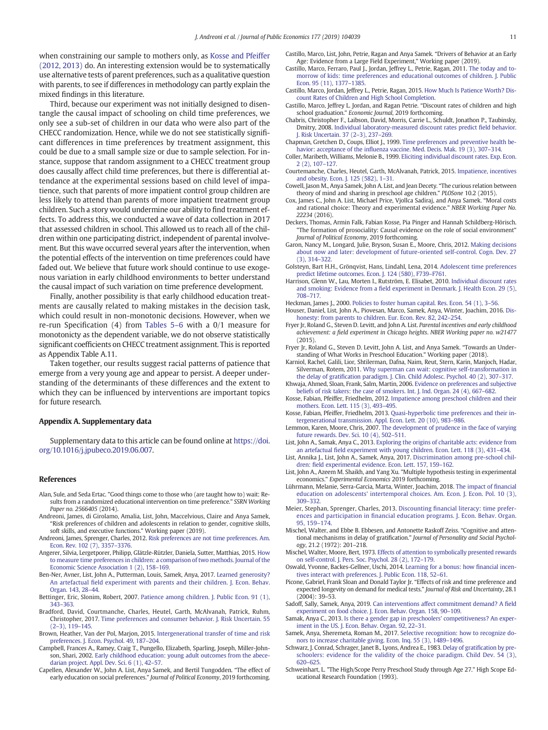when constraining our sample to mothers only, as Kosse and Pfeiffer (2012, 2013) do. An interesting extension would be to systematically use alternative tests of parent preferences, such as a qualitative question with parents, to see if differences in methodology can partly explain the mixed findings in this literature.

Third, because our experiment was not initially designed to disentangle the causal impact of schooling on child time preferences, we only see a sub-set of children in our data who were also part of the CHECC randomization. Hence, while we do not see statistically significant differences in time preferences by treatment assignment, this could be due to a small sample size or due to sample selection. For instance, suppose that random assignment to a CHECC treatment group does causally affect child time preferences, but there is differential attendance at the experimental sessions based on child level of impatience, such that parents of more impatient control group children are less likely to attend than parents of more impatient treatment group children. Such a story would undermine our ability to find treatment effects. To address this, we conducted a wave of data collection in 2017 that assessed children in school. This allowed us to reach all of the children within one participating district, independent of parental involvement. But this wave occurred several years after the intervention, when the potential effects of the intervention on time preferences could have faded out. We believe that future work should continue to use exogenous variation in early childhood environments to better understand the causal impact of such variation on time preference development.

Finally, another possibility is that early childhood education treatments are causally related to making mistakes in the decision task, which could result in non-monotonic decisions. However, when we re-run Specification (4) from Tables 5–6 with a 0/1 measure for monotonicty as the dependent variable, we do not observe statistically significant coefficients on CHECC treatment assignment. This is reported as Appendix Table A.11.

Taken together, our results suggest racial patterns of patience that emerge from a very young age and appear to persist. A deeper understanding of the determinants of these differences and the extent to which they can be influenced by interventions are important topics for future research.

#### Appendix A. Supplementary data

Supplementary data to this article can be found online at https://doi. org/10.1016/j.jpubeco.2019.06.007.

#### References

- Alan, Sule, and Seda Ertac. "Good things come to those who (are taught how to) wait: Results from a randomized educational intervention on time preference." *SSRN Working Paper no. 2566405* (2014).
- Andreoni, James, di Girolamo, Amalia, List, John, Maccelvious, Claire and Anya Samek, "Risk preferences of children and adolescents in relation to gender, cognitive skills, soft skills, and executive functions." Working paper (2019).
- Andreoni, James, Sprenger, Charles, 2012. Risk preferences are not time preferences. Am. Econ. Rev. 102 (7), 3357–3376.
- Angerer, Silvia, Lergetporer, Philipp, Glätzle-Rützler, Daniela, Sutter, Matthias, 2015. How to measure time preferences in children: a comparison of two methods. Journal of the Economic Science Association 1 (2), 158–169.
- Ben-Ner, Avner, List, John A., Putterman, Louis, Samek, Anya, 2017. Learned generosity? An artefactual field experiment with parents and their children. J. Econ. Behav. Organ. 143, 28–44.
- Bettinger, Eric, Slonim, Robert, 2007. Patience among children. J. Public Econ. 91 (1), 343–363.
- Bradford, David, Courtmanche, Charles, Heutel, Garth, McAlvanah, Patrick, Ruhm, Christopher, 2017. Time preferences and consumer behavior. J. Risk Uncertain. 55  $(2-3)$ , 119–145.
- Brown, Heather, Van der Pol, Marjon, 2015. Intergenerational transfer of time and risk preferences. J. Econ. Psychol. 49, 187–204.
- Campbell, Frances A., Ramey, Craig T., Pungello, Elizabeth, Sparling, Joseph, Miller-Johnson, Shari, 2002. Early childhood education: young adult outcomes from the abecedarian project. Appl. Dev. Sci. 6 (1), 42–57.
- Capellen, Alexander W., John A. List, Anya Samek, and Bertil Tungodden. "The effect of early education on social preferences." *Journal of Political Economy*, 2019 forthcoming.
- Castillo, Marco, List, John, Petrie, Ragan and Anya Samek. "Drivers of Behavior at an Early Age: Evidence from a Large Field Experiment," Working paper (2019).
- Castillo, Marco, Ferraro, Paul J., Jordan, Jeffrey L., Petrie, Ragan, 2011. The today and tomorrow of kids: time preferences and educational outcomes of children. J. Public Econ. 95 (11), 1377–1385.
- Castillo, Marco, Jordan, Jeffrey L., Petrie, Ragan, 2015. How Much Is Patience Worth? Discount Rates of Children and High School Completion.
- Castillo, Marco, Jeffrey L. Jordan, and Ragan Petrie. "Discount rates of children and high school graduation." *Economic Journal*, 2019 forthcoming.
- Chabris, Christopher F., Laibson, David, Morris, Carrie L., Schuldt, Jonathon P., Taubinsky, Dmitry, 2008. Individual laboratory-measured discount rates predict field behavior. J. Risk Uncertain. 37 (2–3), 237–269.
- Chapman, Gretchen D., Coups, Elliot J., 1999. Time preferences and preventive health behavior: acceptance of the influenza vaccine. Med. Decis. Mak. 19 (3), 307–314.
- Coller, Maribeth, Williams, Melonie B., 1999. Eliciting individual discount rates. Exp. Econ. 2 (2), 107–127.
- Courtemanche, Charles, Heutel, Garth, McAlvanah, Patrick, 2015. Impatience, incentives and obesity. Econ. J. 125 (582), 1–31.
- Cowell, Jason M., Anya Samek, John A. List, and Jean Decety. "The curious relation between theory of mind and sharing in preschool age children." *PLOSone* 10.2 (2015).
- Cox, James C., John A. List, Michael Price, Vjollca Sadiraj, and Anya Samek. "Moral costs and rational choice: Theory and experimental evidence." *NBER Working Paper No. 22234* (2016).
- Deckers, Thomas, Armin Falk, Fabian Kosse, Pia Pinger and Hannah Schildberg-Hörisch. "The formation of prosociality: Causal evidence on the role of social environment" *Journal of Political Economy*, 2019 forthcoming.
- Garon, Nancy M., Longard, Julie, Bryson, Susan E., Moore, Chris, 2012. Making decisions about now and later: development of future-oriented self-control. Cogn. Dev. 27 (3), 314–322.
- Golsteyn, Bart H.H., Grönqvist, Hans, Lindahl, Lena, 2014. Adolescent time preferences predict lifetime outcomes. Econ. J. 124 (580), F739–F761.
- Harrison, Glenn W., Lau, Morten I., Rutström, E. Elisabet, 2010. Individual discount rates and smoking: Evidence from a field experiment in Denmark. J. Health Econ. 29 (5), 708–717.
- Heckman, James J., 2000. Policies to foster human capital. Res. Econ. 54 (1), 3-56. Houser, Daniel, List, John A., Piovesan, Marco, Samek, Anya, Winter, Joachim, 2016. Dishonesty: from parents to children. Eur. Econ. Rev. 82, 242–254.
- Fryer Jr, Roland G., Steven D. Levitt, and John A. List. *Parental incentives and early childhood achievement: a* fi*eld experiment in Chicago heights*. *NBER Working paper no. w21477*  $(2015)$
- Fryer Jr, Roland G., Steven D. Levitt, John A. List, and Anya Samek. "Towards an Understanding of What Works in Preschool Education." Working paper (2018).
- Karniol, Rachel, Galili, Lior, Shtilerman, Dafna, Naim, Reut, Stern, Karin, Manjoch, Hadar, Silverman, Rotem, 2011. Why superman can wait: cognitive self-transformation in the delay of gratification paradigm. J. Clin. Child Adolesc. Psychol. 40 (2), 307–317.
- Khwaja, Ahmed, Sloan, Frank, Salm, Martin, 2006. Evidence on preferences and subjective beliefs of risk takers: the case of smokers. Int. J. Ind. Organ. 24 (4), 667–682.
- Kosse, Fabian, Pfeiffer, Friedhelm, 2012. Impatience among preschool children and their mothers. Econ. Lett. 115 (3), 493–495.
- Kosse, Fabian, Pfeiffer, Friedhelm, 2013. Quasi-hyperbolic time preferences and their intergenerational transmission. Appl. Econ. Lett. 20 (10), 983–986.
- Lemmon, Karen, Moore, Chris, 2007. The development of prudence in the face of varying future rewards. Dev. Sci. 10 (4), 502–511.
- List, John A., Samak, Anya C., 2013. Exploring the origins of charitable acts: evidence from an artefactual field experiment with young children. Econ. Lett. 118 (3), 431–434.
- List, Annika J., List, John A., Samek, Anya, 2017. Discrimination among pre-school children: field experimental evidence. Econ. Lett. 157, 159–162.
- List, John A., Azeem M. Shaikh, and Yang Xu. "Multiple hypothesis testing in experimental economics." *Experimental Economics* 2019 forthcoming.
- Lührmann, Melanie, Serra-Garcia, Marta, Winter, Joachim, 2018. The impact of financial education on adolescents' intertemporal choices. Am. Econ. J. Econ. Pol. 10 (3), 309–332.
- Meier, Stephan, Sprenger, Charles, 2013. Discounting financial literacy: time preferences and participation in financial education programs. J. Econ. Behav. Organ. 95, 159–174.
- Mischel, Walter, and Ebbe B. Ebbesen, and Antonette Raskoff Zeiss. "Cognitive and attentional mechanisms in delay of gratification." *Journal of Personality and Social Psychology*, 21.2 (1972): 201–218.
- Mischel, Walter, Moore, Bert, 1973. Effects of attention to symbolically presented rewards on self-control. J. Pers. Soc. Psychol. 28 (2), 172–179.
- Oswald, Yvonne, Backes-Gellner, Uschi, 2014. Learning for a bonus: how financial incentives interact with preferences. J. Public Econ. 118, 52–61.
- Picone, Gabriel, Frank Sloan and Donald Taylor Jr. "Effects of risk and time preference and expected longevity on demand for medical tests." *Journal of Risk and Uncertainty*, 28.1 (2004): 39–53.
- Sadoff, Sally, Samek, Anya, 2019. Can interventions affect commitment demand? A field experiment on food choice. J. Econ. Behav. Organ. 158, 90–109.
- Samak, Anya C., 2013. Is there a gender gap in preschoolers' competitiveness? An experiment in the US. J. Econ. Behav. Organ. 92, 22–31.
- Samek, Anya, Sheremeta, Roman M., 2017. Selective recognition: how to recognize donors to increase charitable giving. Econ. Inq. 55 (3), 1489–1496.
- Schwarz, J. Conrad, Schrager, Janet B., Lyons, Andrea E., 1983. Delay of gratification by preschoolers: evidence for the validity of the choice paradigm. Child Dev. 54 (3), 620–625.
- Schweinhart, L. "The High/Scope Perry Preschool Study through Age 27." High Scope Educational Research Foundation (1993).